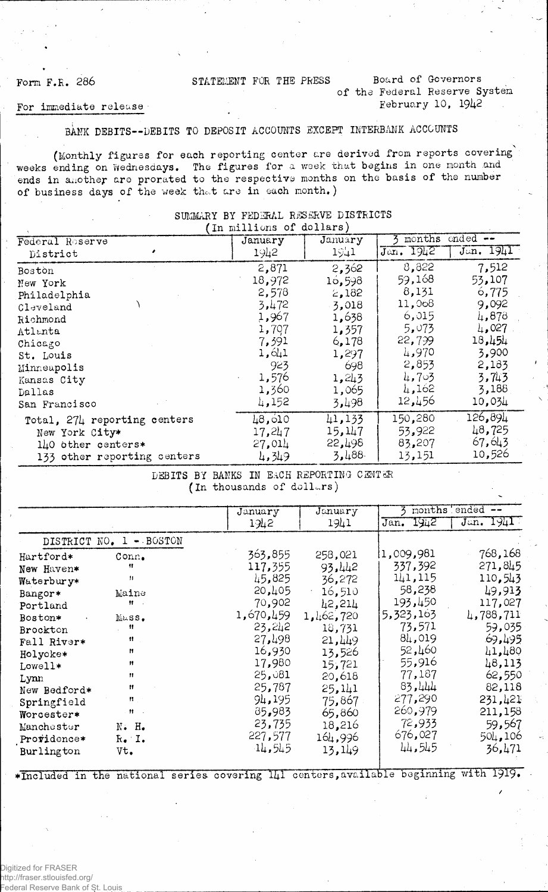### Form F.R. 286 STATEMENT FOR THE PRESS Board of Governors

### of the Federal Reserve System Eebruary 10, 1942

#### For immediate release

#### BANK DEBITS--DEBITS TO DEPOSIT ACCOUNTS EXCEPT INTERBANK ACCOUNTS

 $\ddot{\phantom{0}}$ (Monthly figures for each reporting center are derived from reports covering weeks ending on Wednesdays. The figures for a week that begins in one month .and ends in another are prorated to the respective months on the basis of the number of business days of the week that are in each month.)

|                              | (In millions of dollars) |         |                         |             |
|------------------------------|--------------------------|---------|-------------------------|-------------|
| Federal Reserve              | January                  | January | months                  | $ended$ $-$ |
| District                     | 1942                     | 1941    | $\overline{Jan}$ . 1942 | Jan. 1941   |
| Boston                       | 2,871                    | 2,362   | 8,822                   | 7,512       |
| New York                     | 18,972                   | 16,598  | 59,168                  | 53,107      |
| Philadelphia                 | 2,578                    | 2,182   | 8,131                   | 6,775       |
| Cleveland                    | 3,472                    | 3,018   | 11,068                  | 9,092       |
| Richmond                     | 1,967                    | 1,638   | 6,015                   | 4,878       |
| Atlanta                      | 1,707                    | 1,357   | 5,073                   | 4.027       |
| Chicago                      | 7,391                    | 6,178   | 22,799                  | 18,454      |
| St. Louis                    | 1,641                    | 1,297   | 4,970                   | 3,900       |
| Minneapolis                  | 923                      | 698     | 2,853                   | 2,183       |
| Kansas City                  | 1,576                    | 1,243   | 4,703                   | 3,743       |
| Dallas                       | 1,360                    | 1,065   | 4,162                   | 3,188       |
| San Francisco                | 4,152                    | 3,498   | 12,456                  | 10,034      |
| Total, 274 reporting centers | 48,010                   | 41,133  | 150,280                 | 126,894     |
| New York City*               | 17,247                   | 15,147  | 53,922                  | 48,725      |
| 140 other centers*           | 27,014                   | 22,198  | 83,207                  | 67, 643     |
| 133 other reporting centers  | 4,349                    | 3.488   | 13,151                  | 10,526      |

### SUMMARY BY FEDERAL RESERVE DISTRICTS

DEBITS BY BANKS IN EACH REPORTING CENTER (In thousands of dollars)

|                           |                                        | January             | January                 |                      | months ended --    |
|---------------------------|----------------------------------------|---------------------|-------------------------|----------------------|--------------------|
|                           |                                        | 1342                | 1941                    | Jan. 1942            | Jan. 1941          |
|                           | DISTRICT NO. 1 - BOSTON                |                     |                         |                      |                    |
| Hartford*                 | Conn <sub>•</sub><br>Ħ                 | 363,855             | 258,021                 | 1,009,981<br>337,392 | 768,168<br>271,845 |
| New Haven*<br>Waterbury*  | 11                                     | 117,355<br>45,825   | 93,442<br>36,272        | 141, 115             | 110,543            |
| Bangor*                   | Maine<br>11                            | 20,405              | 16,510                  | 58,238<br>193,450    | 49,913<br>117,027  |
| Portland<br>Boston*       | Mass.                                  | 70,902<br>1,670,459 | 42,214<br>1, 1, 62, 720 | 5,323,163            | 4,788,711          |
| Brockton                  | -99<br>11                              | 23,212<br>27,498    | 18,731<br>21,449        | 73,571<br>84,019     | 59,035<br>69,495   |
| Fall River*<br>Holyoke*   | Ħ                                      | 16,930              | 13,526                  | 52,460               | 41,480             |
| Lowell*<br>Lynn           | Ħ<br>11                                | 17,980<br>25,081    | 15,721<br>20,618        | 55,916<br>77,187     | 48,113<br>62,550   |
| New Bedford*              | 11                                     | 25,787              | 25,141                  | 83,444<br>277,290    | 82,118             |
| Springfield<br>Worcester* | $\mathbf{H} \in \mathbb{R}$<br>$H = 1$ | 94,195<br>85,983    | 75,867<br>65,860        | 260,979              | 231,421<br>211,158 |
| Manchester                | $N - Ho$                               | 23,735<br>227,577   | 18,216                  | 72,933<br>676,027    | 59,567<br>504,106  |
| Providence*<br>Burlington | $k$ . I.<br>Vt.                        | 14,545              | 164,996<br>13,149       | 44,545               | 36,471             |

\*Included in the national series covering 141 centers, available beginning with 1919.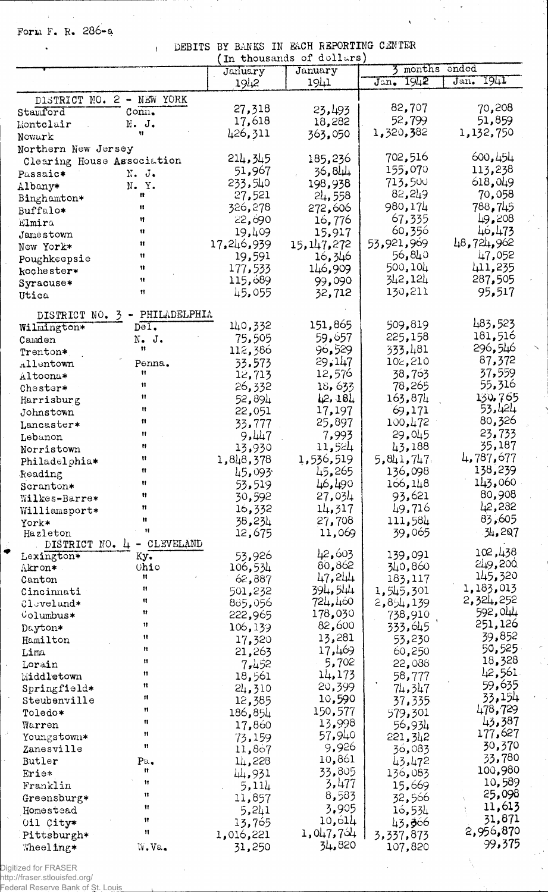Form F. R. 286-a

 $\ddot{\phantom{a}}$ 

DEBITS BY BANKS IN EACH REPORTING CENTER

 $\overline{\phantom{a}}$ 

 $\infty$ 

L,

| DEBITS                                                      | BY BANKS            | IN EACH REPORTING CENTER  |                      |                   |
|-------------------------------------------------------------|---------------------|---------------------------|----------------------|-------------------|
|                                                             |                     | (In thousands of dollars) | 3 months ended       |                   |
|                                                             | January<br>1942     | January<br>1941           | 1942<br>Jan.         | 1941<br>Jan.      |
|                                                             |                     |                           |                      |                   |
| DISTRICT NO. 2 - NEW YORK<br>Stamford<br>Conn.              | 27,318              | 23,493                    | 82,707               | 70,208            |
| N. J.                                                       | 17,618              | 18,282                    | 52,799               | 51,859            |
| Montclair<br>Ħ                                              | 426,311             | 363,050                   | 1,320,382            | 1,132,750         |
| Nowark                                                      |                     |                           |                      |                   |
| Northern New Jersey                                         | 214,345             | 185,236                   | 702,516              | 600, 454          |
| Clearing House Association<br>N. J.                         | 51,967              | 36,844                    | 155,070              | 113,238           |
| Passaic*<br>N. Y.                                           | 233,540             | 198,938                   | 713,500              | 618,049           |
| Albany*<br>Ħ                                                | 27,521              | 24,558                    | 82,249               | 70,058            |
| Binghamton*<br>11<br>Buffalo*                               | 326,278             | 272,606                   | 980,174              | 788,745           |
| 11<br>Elmira                                                | 22,690              | 16,776                    | 67,335               | 49,208            |
| 11<br>Jamestown                                             | 19,409              | 15,917                    | 60,356               | 46,473            |
| n<br>New York*                                              | 17,246,939          | 15, 147, 272              | 53,921,969           | 48,724,962        |
| 11<br>Poughkeepsie                                          | 19,591              | 16,346                    | 56,840               | 47,052            |
| Ħ<br>kochester*                                             | 177,533             | 146,909                   | 500,104              | 411,235           |
| Ħ<br>Syracuse*                                              | 115,689             | 99,090                    | 342,124              | 287,505           |
| Ħ<br>Utica                                                  | 45,055              | 32,712                    | 130,211              | 95,517            |
| PHILADELPHIA<br>DISTRICT NO. 3                              |                     |                           |                      |                   |
| Wilmington*<br>$D = I$ .                                    | 140,332             | 151,865                   | 509,819              | 483,523           |
| N. J.<br>Camden                                             | 75,505              | 59,657                    | 225,158              | 181,516           |
| 11<br>Trenton*                                              | 112,386             | 96,529                    | 333,481              | 296,546           |
| Allentown<br>Penna.                                         | 33,573              | 29,147                    | 102,210              | 87,372            |
| Ħ<br>Altoona*                                               | 12,713              | 12,576                    | 38,763               | 37,559            |
| Ħ<br>Chester*                                               | 26,332              | 18,633                    | 78,265               | 55,316            |
| Ħ<br>Harrisburg                                             | 52,894              | 12,181                    | 163,874              | 130,765           |
| 11<br>Johnstown                                             | 22,051              | 17,197                    | 69,171               | 53,424            |
| 11<br>Lancaster*                                            | 33,777              | 25,897                    | 100,472              | 80,326            |
| Ħ<br>Lebanon                                                | 9,447               | 7,993                     | 29,045               | 23,733            |
| Ħ<br>Norristown                                             | 13,930              | 11,524                    | 43,188               | 35,187            |
| Ħ<br>Philadelphia*                                          | 1,848,378           | 1,536,519                 | 5,841,747            | 4,787,677         |
| n<br>Reading                                                | 45,093              | 45,265                    | 136,098              | 138,239           |
| Ħ<br>Scranton*                                              | 53,519              | 46,490                    | 166, 148             | 143,060           |
| Ħ<br>Wilkes-Barre*                                          | 30,592              | 27,034                    | 93,621               | 80,908            |
| n<br>Williamsport*                                          | 16,332              | 14,317                    | 49,716               | 42,282            |
| Ħ<br>York*<br>$\mathbf{H}$                                  | 38,234              | 27,708                    | 111,584              | 83,605            |
| Hazleton                                                    | 12,675              | 11,069                    | 39,065               | 34,207            |
| CLEVELAND<br>DISTRICT NO. 4<br>$\qquad \qquad \blacksquare$ |                     | 42,603                    | 139,091              | 102,438           |
| Lexington*<br>Ky.<br>Ohio<br>Akron*                         | 53,926<br>106,534   | 80,862                    | 340,860              | 249,200           |
| Ħ<br>Canton                                                 | 62,887              | 47,244                    | 183,117              | 145,320           |
| Ħ<br>Cincinnati                                             | 501,232             | 394,544                   | 1,545,301            | 1,183,013         |
| 11<br>$01$ eveland*                                         | 885,056             | 724,460                   | 2,854,139            | 2,324,252         |
| 11<br>Columbus*                                             | 222,965             | 178,030                   | 738,910              | 592,044           |
| 11<br>Dayton*                                               | 106,139             | 82,600                    | 333,645              | 251,126           |
| Ħ<br>Hamilton                                               | 17,320              | 13,281                    | 53,230               | 39,852            |
| Ħ<br>Lima                                                   | 21,263              | 17,469                    | 60,250               | 50,525            |
| Ħ<br>Lorain                                                 | 7,452               | 5,702                     | 22,088               | 18,328            |
| 11<br>Middletown                                            | 18,561              | 14,173                    | 58,777               | 42,561            |
| Ħ<br>Springfield*                                           | 24,310              | 20,399                    | 74,347               | 59,635            |
| 11<br>Steubenville                                          | 12,385              | 10,590                    | 37, 335              | 33,154            |
| Ħ<br>Toledo*                                                | 186,854             | 150,577                   | 579,301              | 478,729           |
| Ħ<br>Warren                                                 | 17,860              | 13,998                    | 56,934               | 43,387<br>177,627 |
| Ħ<br>Youngstown*                                            | 73,159              | 57,940                    | 221, 342             |                   |
| 11<br>Zanesville                                            | 11,867              | 9,926                     | 36,083               | 30,370<br>33,780  |
| Butler<br>Pa.<br>Ħ                                          | 14,228              | 10,861                    | 43,472               | 100,980           |
| <b>Frie*</b><br>Ħ                                           | 44,931              | 33,805                    | 136,083              | 10,589            |
| Franklin<br>Ħ                                               | 5,114               | 3,477<br>8,583            | 15,669               | 25,098            |
| Greensburg*<br>Ħ                                            | 11,857              | 3,905                     | 32,566               | 11,613            |
| Homestead<br>$\mathbf{H}$                                   | 5,241               | 10,614                    | 16,534               | 31,871            |
| Oil City*<br>n                                              | 13,765<br>1,016,221 | 1,047,754                 | 43,306               | 2,956,870         |
| Pittsburgh*<br>W.Va.<br>Wheeling*                           | 31,250              | 34,820                    | 3,337,873<br>107,820 | 99,375            |
|                                                             |                     |                           |                      |                   |

 $\ddot{\bullet}$ 

 $\ddot{\phantom{1}}$ 

٠.

Digitized for FRASER<br>http://fraser.stlouisfed.org/<br>Federal Reserve Bank of St. Lou<u>is</u>

**Contractor**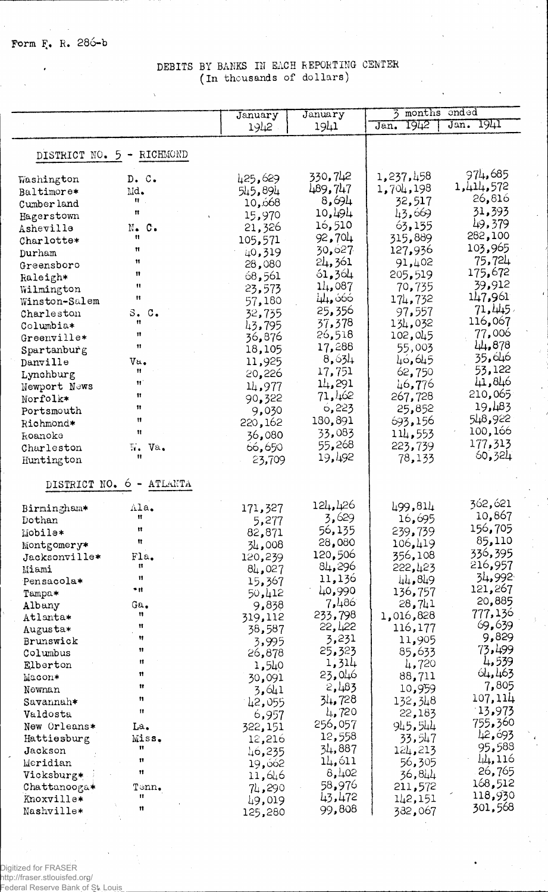## DEBITS BY BANKS IN EACH REPORTING CENTER (In thousands of dollars)

|                           |                          | January         | January          | months<br>onded<br>3 |                      |
|---------------------------|--------------------------|-----------------|------------------|----------------------|----------------------|
|                           |                          | 1942            | 1941             | 1942<br>Jan.         | $J$ an. 1941         |
|                           |                          |                 |                  |                      |                      |
| DISTRICT NO. 5 - RICHMOND |                          |                 |                  |                      |                      |
|                           |                          |                 |                  |                      |                      |
| Washington                | D. C.                    | 425,629         | 330,742          | 1,237,458            | 974,685<br>1,414,572 |
| Baltimore*                | Md.                      | 545,894         | 489,747          | 1,704,198            | 26,816               |
| Cumber land               | 11.                      | 10,668          | 8,694            | 32,517               |                      |
| Hagerstown                | Ħ                        | 15,970          | 10,494           | 43,669               | 31,393<br>49,379     |
| Asheville                 | N. C.                    | 21,326          | 16,510           | 63,155               | 282,100              |
| Charlotte*                | Ħ<br>Ħ                   | 105,571         | 92,704           | 315,889              | 103,965              |
| Durham                    | Ħ                        | 40,319          | 30,627           | 127,936              | 75,724               |
| Greensboro                | Ħ                        | 28,080          | 24,361           | 91,402               | 175,672              |
| Raleigh*                  | $^{\dagger}$             | 68,561          | 61,364<br>14,087 | 205,519<br>70,735    | 39,912               |
| Wilmington                | $^{\dagger}$             | 23,573          | 44, 666          |                      | 147,961              |
| Winston-Salem             |                          | 57,180          | 25,356           | 174,732<br>97,557    | 71,445               |
| Charleston                | S. C.<br>11              | 32,735          | 37,378           | 134,032              | 116,067              |
| Columbia*                 | n                        | 43,795          | 26,518           | 102,045              | 77,006               |
| Greenville*               | $\mathbf{H}$             | 36,876          | 17,288           | 55,003               | 44,878               |
| Spartanburg               |                          | 18,105          | 8,634            | 40,645               | 35,646               |
| Danville                  | Va.<br>Ħ                 | 11,925          | 17,751           | 62,750               | 53,122               |
| Lynchburg                 | Ħ                        | 20,226          | 14,291           | 46,776               | 41,846               |
| Newport News              | 11                       | 14,977          | 71,462           | 267,728              | 210,065              |
| Norfolk*<br>Portsmouth    | 11                       | 90,322<br>9,030 | 6,223            | 25,852               | 19,483               |
| Richmond*                 | $\mathbf{H}$             | 220,162         | 180,891          | 693,156              | 548,922              |
| koanoke                   | $\mathbf{u}$             | 36,080          | 33,083           | 114,553              | 100,166              |
| Charleston                | Ч.<br>Va.                | 66,650          | 55,268           | 223,739              | 177,313              |
| Huntington                | Ħ                        | 23,709          | 19,492           | 78,133               | 60,324               |
|                           |                          |                 |                  |                      |                      |
| DISTRICT NO. 6 -          | ATLANTA                  |                 |                  |                      |                      |
| Birmingham*               | Ala.                     | 171,327         | 124,426          | 499,814              | 362,621              |
| Dothan                    | Ħ                        | 5,277           | 3,629            | 16,695               | 10,867               |
| Mobile*                   | Ħ                        | 82,871          | 56,135           | 239,739              | 156,705              |
| Montgomery*               | Ħ                        | 34,008          | 28,080           | 106,419              | 85,110               |
| Jacksonville*             | Fla.                     | 120,239         | 120,506          | 356,108              | 336,395              |
| Miami                     | Ħ                        | 84,027          | 84,296           | 222,423              | 216,957              |
| Pensacola*                | $\mathbf{H}$             | 15,367          | 11,136           | 44,849               | 34,992               |
| Tampa*                    | * It                     | 50,412          | 40,990           | 136,757              | 121,267              |
| Albany                    | Ga.                      | 9,838           | 7,486            | 28,741               | 20,885               |
| Atlanta*                  | 11                       | 319,112         | 233,798          | 1,016,828            | 777,136              |
| Augusta*                  | Ħ                        | 38,587          | 22,422           | 116,177              | 69,639               |
| Brunswick                 | 11                       | 3,995           | 3,231            | 11,905               | 9,829                |
| Columbus                  | 11                       | 26,878          | 25,323           | 85,633               | 73,499               |
| Elberton                  | 11                       | 1,540           | 1,314            | 4,720                | 4,539                |
| Macon*                    | Ħ                        | 30,091          | 23,046           | 88,711               | 64,463               |
| Newnan                    | Ħ                        | 3,641           | 2,483            | 10,959               | 7,805                |
| Savannah*                 | n                        | 42,055          | 34,728           | 132,348              | 107,114              |
| Valdosta                  | $^{\dagger}$             | 6,957           | 4,720            | 22,183               | 13,973               |
| New Orleans*              | La.                      | 322,151         | 256,057          | 945,544              | 755,360              |
| Hattiesburg               | Miss.                    | 12,216          | 12,558           | 33,547               | 42,693               |
| Jackson                   | 11                       | 46,235          | 34,887           | 124,213              | 95,588               |
| Meridian                  | 11                       | 19,062          | 14,611           | 56,305               | 44,116               |
| Vicksburg*                | 11                       | 11,646          | 8,402            | 36,844               | 26,765               |
| Chattanooga*              | $\texttt{Tcm}_{\bullet}$ | 74,290          | 58,976           | 211,572              | 168,512<br>118,930   |
| Knoxville*                | n                        | 49,019          | 43,472           | 142,151              | 301,568              |
| Nashville*                | 11                       | 125,280         | 99,808           | 382,067              |                      |

Digitized for FRASER<br>http://fraser.stlouisfed.org/<br>Federal Reserve Bank of St. Louis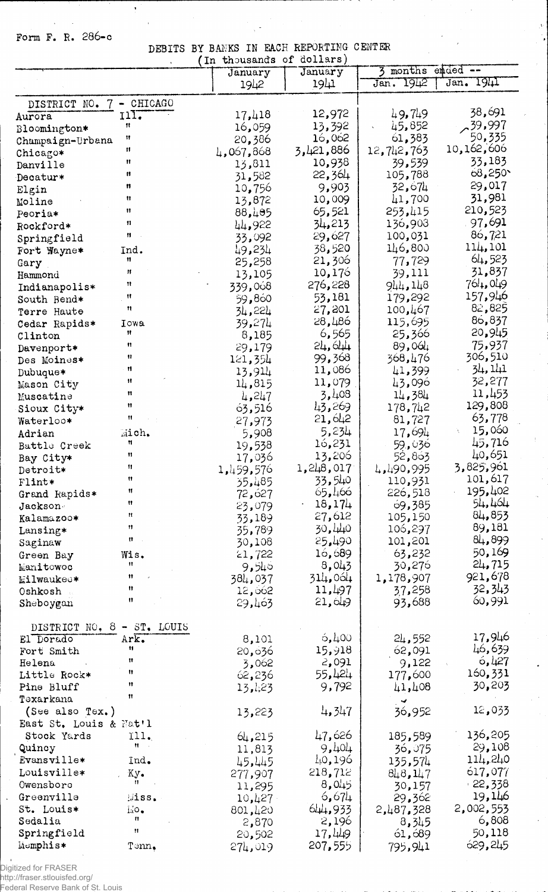Form F. R. 286-c

 $\bar{z}$  $\bar{z}$   $\ddot{\phantom{1}}$ 

### DEBITS BY BANKS IN FACH REPORTING CENTER

 $\begin{array}{c}\n\lambda^2 \\
\lambda^2\n\end{array}$ 

 $\mathbb{F}^2$ 

 $\sim$ 

 $\hat{\boldsymbol{\beta}}$ 

 $\mathcal{L}_{\mathcal{A}}$ 

 $\mathbb{R}^{d-1}$ 

|                            |                           | In thousands of dollars) |                  |                     |                 |
|----------------------------|---------------------------|--------------------------|------------------|---------------------|-----------------|
|                            |                           | January                  | January          | 3                   | months ended -- |
|                            |                           | 1942                     | $19+1$           | 1942<br>Jan.        | Jan. 1941       |
| DISTRICT NO.               | 7 - CHICAGO               |                          |                  |                     |                 |
| Aurora                     | 117.                      | 17,418                   | 12,972           | 49,749              | 38,691          |
| Bloomington*               | Ħ                         | 16,059                   | 13,392           | 45,852              | .39.997         |
|                            | 11                        | 20,386                   | 16,062           | 61,383              | 50,335          |
| Champaign-Urbana           | Ħ                         | 4,067,868                | 3,421,886        | 12,742,763          | 10,162,606      |
| Chicago*                   | Ħ                         | 13,811                   | 10,938           | 39,539              | 33,183          |
| Danville                   | n                         | 31,582                   | 22,364           | 105,788             | 68,250          |
| Decatur*                   | 11                        | 10,756                   | 9,903            | 32,674              | 29,017          |
| Elgin                      | Ħ                         | 13,872                   | 10,009           | 41,700              | 31,981          |
| Moline                     | Ħ                         | 88,495                   | 65,521           | 253,415             | 210,523         |
| Peoria*                    | 11                        |                          | 34,213           | 136,903             | 97,691          |
| Rockford*                  | Ħ                         | 44,922                   | 29,627           | 100,031             | 86,721          |
| Springfield                |                           | 33,092                   | 38,520           | 146,800             | 114,101         |
| Fort Wayne*                | Ind.<br>Ħ                 | 49,234                   | 21,306           | 77,729              | 64,523          |
| Gary                       | 11                        | 25,258                   | 10,176           | 39,111              | 31,837          |
| Hammond                    | 11                        | 13,105                   | 276,228          | 944,148             | 764,049         |
| Indianapolis*              | Ħ                         | 339,068                  | 53,181           | 179,292             | 157,946         |
| South Bend*                | n                         | 59,860                   | 27,201           |                     | 82,825          |
| Terre Haute                |                           | 34,224                   | 28,486           | 100,467             | 86,837          |
| Cedar Rapids*              | Iowa<br>Ħ                 | 39,274                   | 6,565            | 115,695             | 20,945          |
| Clinton                    | 11                        | 8,185                    | 24,644           | 25,366              | 75,937          |
| Davenport*                 | 11                        | 29,179                   | 99,368           | 89,064<br>368,476   | 306,510         |
| Des Moines*                | 11                        | 121,354                  | 11,086           |                     | 34, 141         |
| Dubuque*                   | 11                        | 13,914                   | 11,079           | 41,399              | 32,277          |
| Mason City                 | Ħ                         | 14,815                   | 3,408            | 43,096              | 11,453          |
| Muscatine                  | Ħ                         | 4,247                    | 43,269           | 14,384              | 129,808         |
| Sioux City*                | Ħ                         | 63,516                   | 21,642           | 178,742             | 63,778          |
| Waterloo*                  |                           | 27,973                   | 5,234            | 81,727              | 15,060          |
| Adrian                     | Mich.<br>11               | 5,908                    |                  | 17,694              | 45,716          |
| Battle Creek               | Ħ                         | 19,538                   | 16,231           | 59,036              | 40,651          |
| Bay City*                  | 11                        | 17,036                   | 13,206           | 52,863              | 3,825,961       |
| Detroit*                   | Ħ                         | 1,459,576                | 1,248,017        | 4,490,995           | 101,617         |
| Flint*                     | 11                        | 35,485                   | 33,540           | 110,931             | 195,402         |
| Grand Rapids*              | Ħ                         | 72,ó27                   | 65,466<br>18,174 | 226,518             | 54,464          |
| Jackson                    | Ħ                         | 23,079                   | 27,612           | 69,385              | 84,853          |
| Kalamazoo*                 | Ħ                         | 33,189                   | 30,440           | 105,150<br>106,297  | 89,181          |
| Lansing*                   | n                         | 35,789                   | 25,490           | 101,201             | 84,899          |
| Saginaw                    |                           | 30,108                   |                  |                     | 50,169          |
| Green Bay                  | Wis.<br>11                | 21,722                   | 16,689<br>8,043  | 63,232<br>30,276    | 24,715          |
| Manitowoc                  | 11                        | 9,540                    | 314,0ó4          | 1,178,907           | 921,678         |
| <b>Milwaukee*</b>          | Ħ                         | 384,037                  | 11,497           | 37,258              | 32,343          |
| Oshkosh                    | Ħ                         | 12,662                   | 21,049           | 93,688              | 60,991          |
| Sheboygan                  |                           | 29,463                   |                  |                     |                 |
| DISTRICT NO, 8 - ST. LOUIS |                           |                          |                  |                     |                 |
| El Dorado                  | Ark.                      | 8,101                    | 6,400            | 24,552              | 17,946          |
| Fort Smith                 | 11                        | 20,636                   | 15,918           | 62,091              | 46,639          |
| Helena                     | Ħ                         | 3,062                    | 2,091            | 9,122               | 6,427           |
| Little Rock*               | n                         | 62,236                   | 55,424           | 177,600             | 160,331         |
| Pine Bluff                 | Ħ                         | 13,423                   | 9,792            | 41,408              | 30,203          |
| Texarkana                  | 11                        |                          |                  |                     |                 |
| (See also Tex.)            |                           | 13,223                   | 4,347            | پ<br>36,952         | 12,033          |
| East St. Louis & Nat'l     |                           |                          |                  |                     |                 |
| Stock Yards                | 11.                       | 64,215                   | 47,626           | 185,589             | 136,205         |
| Quincy                     | $\mathbf{H} = \mathbf{0}$ | 11,813                   | 9,404            | 36,075              | 29,108          |
| Evansville*                | Ind.                      | 45,445                   | 40,196           | 135,574             | 114,240         |
| Louisville*                | Ky.                       |                          | 218,712          |                     | 617,077         |
| Owensboro                  | Ħ                         | 277,907                  | 8,045            | 848,147             | $-22,338$       |
| Greenville                 | Miss.                     | 11,295                   | 6,674            | 30,157              | 19,146          |
| St. Louis*                 | $140 -$                   | 10,427                   | 644,933          | 29,362<br>2,487,328 | 2,002,553       |
| Sedalia                    | n                         | 801,420                  | 2,196            | 3,345               | 6,808           |
| Springfield                | Ħ                         | 2,870<br>20,502          | 17,449           | 61,689              | 50,118          |
| Momphis*                   | Tenn.                     |                          | 207,555          | 795,941             | 629,245         |
|                            |                           | 274,019                  |                  |                     |                 |

J.

.<br>Digitized for FRASER<br>http://fraser.stlouisfed.org/<br>Federal Reserve Bank of St. Lo<u>uis.</u>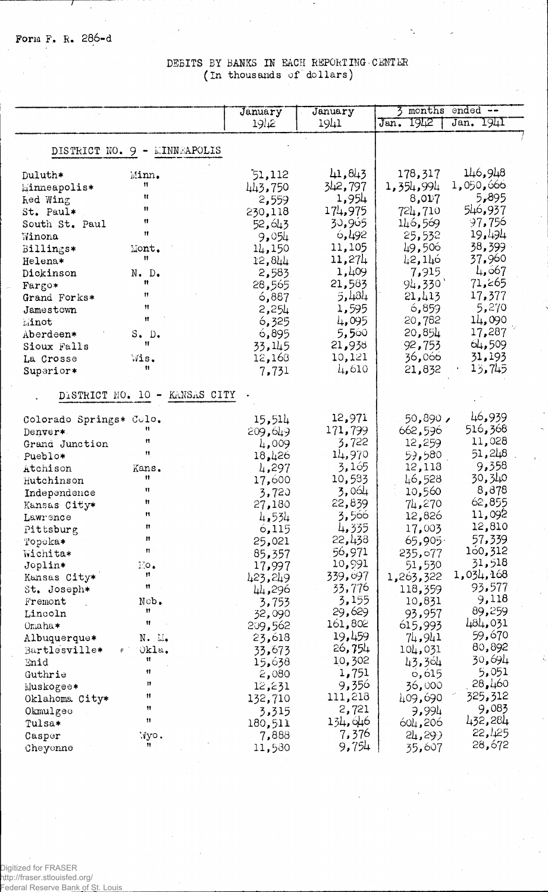## DEBITS BY BANKS IN EACH REPORTING CENTER (In thousands of dollars)

|                                   |                               | January          | January | 3<br>months  | $end - -$ |
|-----------------------------------|-------------------------------|------------------|---------|--------------|-----------|
|                                   |                               | 19 <sub>12</sub> | 1941    | 1912<br>Jan. | Jan. 1941 |
|                                   |                               |                  |         |              |           |
|                                   | DISTRICT NO. 9 - LINNEAPOLIS  |                  |         |              |           |
|                                   |                               |                  |         |              |           |
| Duluth*                           | Minn.                         | 51,112           | 41,843  | 178,317      | 146,948   |
| <b><i><u>Einneapolis*</u></i></b> | 11                            | 443,750          | 342,797 | 1,354,994    | 1,050,666 |
| <b><i>ked Wing</i></b>            | Ħ                             | 2,559            | 1,954   | 8,017        | 5,895     |
| St. Paul*                         | $\mathbf{H}$                  | 230,118          | 174,975 | 724,710      | 546,937   |
| South St. Paul                    | n                             | 52,643           | 30,965  | 146,569      | 97,756    |
| Winona                            | $\mathbf{H}$                  | 9,054            | 6,492   | 25,532       | 19,494    |
| Billings*                         | Mont.                         | 14,150           | 11,105  | 49,506       | 38,399    |
| Helena*                           | 11                            | 12,844           | 11,274  | 42,146       | 37,960    |
| Dickinson                         | $N$ . $D$ .                   | 2,583.           | 1,409   | 7,915        | 4, 667    |
| Fargo*                            | Ħ                             | 28,565           | 21,583  | 94,330'      | 71,265    |
| Grand Forks*                      | Ħ                             | 6,887            | 5,434   | 21,413       | 17,377    |
| Jamestown                         | Ħ                             | 2,254            | 1,595   | 6,859        | 5,270     |
| Minot                             | Ħ                             | 6,325            | 4,095   | 20,782       | 14,090    |
| Aberdeen*                         | S. D.                         | 6,895            | 5,560   | 20,854       | 17,287    |
| Sioux Falls                       | Ħ                             | 33,145           | 21,938  | 92,753       | 64,509    |
| La Crosse                         | Wis.                          | 12,168           | 10,121  | 36,066       | 31,193    |
| Superior*                         | Ħ                             | 7,731            | 4,610   | 21,832       | 13,745    |
|                                   |                               |                  |         |              |           |
|                                   | DISTRICT NO. 10 - KANSAS CITY |                  |         |              |           |
| Colorado Springs* Colo.           |                               | 15,514           | 12,971  | 50,890,      | 46,939    |
| Denver*                           | Ħ                             | 209,649          | 171,799 | 662,596      | 516,368   |
| Grand Junction                    | Ħ                             | 4,009            | 3,722   | 12,259       | 11,028    |
| Pueblo*                           | 11                            | 18,426           | 14,970  | 59,580       | 51,248    |
| Atchison                          | Kans.                         | 4,297            | 3,165   | 12,118       | 9,358     |
| Hutchinson                        | Ħ                             | 17,600           | 10,533  | 46,528       | 30,340    |
| Independence                      | 11                            | 3,720            | 3,064   | 10,560       | 8,878     |
| Kansas City*                      | Ħ                             | 27,180           | 22,839  | 74,270       | 62,855    |
| Lawrence                          | Ħ                             | 4,534            | 3,566   | 12,826       | 11,092    |
| Pittsburg                         | $\mathbf{f}$                  | 6,115            | 4,335   | 17,003       | 12,810    |
| Topeka*                           | n                             | 25,021           | 22,438  | 65,905       | 57,339    |
| Wichita*                          | ł1.                           | 85,357           | 56,971  | 235,677      | 160,312   |
| Joplin*                           | 100.                          | 17,997           | 10,991  | 51,530       | 31,518    |
| Kansas City*                      | Ħ                             | 423,249          | 339,097 | 1,263,322    | 1,034,168 |
| St. Joseph*                       | Ħ                             | 44,296           | 33,776  | 118,359      | 93,577    |
| Fremont                           | Nob.                          | 3,753            | 3,155   | 10,831       | 9,118     |
| Lincoln                           | 11                            | 32,090           | 29,629  | 93,957       | 89,259    |
| Omaha*                            | Ħ                             | 209,562          | 161,802 | 615,993      | 484,031   |
| Albuquerque*                      | N. M.                         | 23,618           | 19,459  | 74,941       | 59,670    |
| Bartlesville*                     | Okla.<br>楽し                   | 33,673           | 26,754  | 104,031      | 80,892    |
| Enid                              | 11                            | 15,638           | 10,302  | 43,364       | 30,694    |
| Guthrie                           | 11                            | 2,080            | 1,751   | 6,615        | 5,051     |
| Muskogee∗                         | n                             | 12,231           | 9,356   | 36,000       | 28,460    |
| Oklahoma City*                    | Ħ                             | 132,710          | 111,218 | 409,690      | 325,312   |
| Okmulgee                          | Ħ                             | 3,315            | 2,721   | 9,994        | 9,083     |
| Tulsa*                            | 11                            | 180,511          | 134,646 | 604,206      | 432,284   |
| Casper                            | Wyo.                          | 7,888            | 7,376   | 24,299       | 22,425    |
| Cheyenne                          | Ħ                             | 11,580           | 9,754   | 35,607       | 28,672    |

Digitized for FRASER<br>http://fraser.stlouisfed.org/<br>Federal Reserve Ba<u>nk of S</u>t. Louis